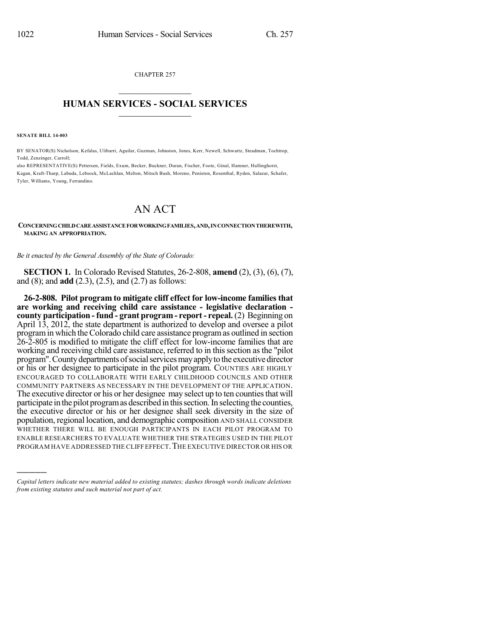CHAPTER 257  $\mathcal{L}_\text{max}$  . The set of the set of the set of the set of the set of the set of the set of the set of the set of the set of the set of the set of the set of the set of the set of the set of the set of the set of the set

## **HUMAN SERVICES - SOCIAL SERVICES**  $\frac{1}{2}$  ,  $\frac{1}{2}$  ,  $\frac{1}{2}$  ,  $\frac{1}{2}$  ,  $\frac{1}{2}$  ,  $\frac{1}{2}$

**SENATE BILL 14-003**

)))))

BY SENATOR(S) Nicholson, Kefalas, Ulibarri, Aguilar, Guzman, Johnston, Jones, Kerr, Newell, Schwartz, Steadman, Tochtrop, Todd, Zenzinger, Carroll;

also REPRESENTATIVE(S) Pettersen, Fields, Exum, Becker, Buckner, Duran, Fischer, Foote, Ginal, Hamner, Hullinghorst, Kagan, Kraft-Tharp, Labuda, Lebsock, McLachlan, Melton, Mitsch Bush, Moreno, Peniston, Rosenthal, Ryden, Salazar, Schafer, Tyler, Williams, Young, Ferrandino.

## AN ACT

**CONCERNINGCHILDCAREASSISTANCEFORWORKINGFAMILIES,AND,INCONNECTIONTHEREWITH, MAKING AN APPROPRIATION.**

*Be it enacted by the General Assembly of the State of Colorado:*

**SECTION 1.** In Colorado Revised Statutes, 26-2-808, **amend** (2), (3), (6), (7), and (8); and **add** (2.3), (2.5), and (2.7) as follows:

**26-2-808. Pilot program to mitigate cliff effect for low-income families that are working and receiving child care assistance - legislative declaration county participation - fund - grant program - report - repeal.** (2) Beginning on April 13, 2012, the state department is authorized to develop and oversee a pilot programin which theColorado child care assistance programas outlined in section 26-2-805 is modified to mitigate the cliff effect for low-income families that are working and receiving child care assistance, referred to in thissection asthe "pilot program".Countydepartmentsofsocialservicesmayapplytothe executivedirector or his or her designee to participate in the pilot program. COUNTIES ARE HIGHLY ENCOURAGED TO COLLABORATE WITH EARLY CHILDHOOD COUNCILS AND OTHER COMMUNITY PARTNERS AS NECESSARY IN THE DEVELOPMENT OF THE APPLICATION. The executive director or his or her designee may select up to ten counties that will participate in the pilot program as described in this section. In selecting the counties, the executive director or his or her designee shall seek diversity in the size of population, regional location, and demographic composition AND SHALL CONSIDER WHETHER THERE WILL BE ENOUGH PARTICIPANTS IN EACH PILOT PROGRAM TO ENABLE RESEARCHERS TO EVALUATE WHETHER THE STRATEGIES USED IN THE PILOT PROGRAM HAVE ADDRESSED THE CLIFF EFFECT. THE EXECUTIVE DIRECTOR OR HIS OR

*Capital letters indicate new material added to existing statutes; dashes through words indicate deletions from existing statutes and such material not part of act.*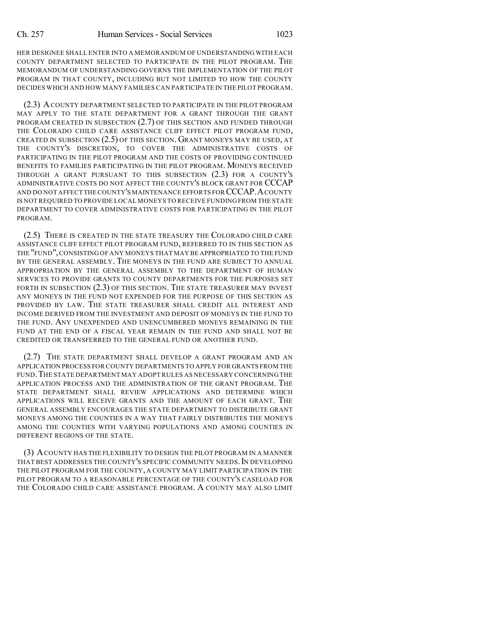HER DESIGNEE SHALL ENTER INTO A MEMORANDUM OF UNDERSTANDING WITH EACH COUNTY DEPARTMENT SELECTED TO PARTICIPATE IN THE PILOT PROGRAM. THE MEMORANDUM OF UNDERSTANDING GOVERNS THE IMPLEMENTATION OF THE PILOT PROGRAM IN THAT COUNTY, INCLUDING BUT NOT LIMITED TO HOW THE COUNTY DECIDES WHICH AND HOW MANY FAMILIES CAN PARTICIPATE IN THE PILOT PROGRAM.

(2.3) ACOUNTY DEPARTMENT SELECTED TO PARTICIPATE IN THE PILOT PROGRAM MAY APPLY TO THE STATE DEPARTMENT FOR A GRANT THROUGH THE GRANT PROGRAM CREATED IN SUBSECTION (2.7) OF THIS SECTION AND FUNDED THROUGH THE COLORADO CHILD CARE ASSISTANCE CLIFF EFFECT PILOT PROGRAM FUND, CREATED IN SUBSECTION (2.5) OF THIS SECTION. GRANT MONEYS MAY BE USED, AT THE COUNTY'S DISCRETION, TO COVER THE ADMINISTRATIVE COSTS OF PARTICIPATING IN THE PILOT PROGRAM AND THE COSTS OF PROVIDING CONTINUED BENEFITS TO FAMILIES PARTICIPATING IN THE PILOT PROGRAM. MONEYS RECEIVED THROUGH A GRANT PURSUANT TO THIS SUBSECTION (2.3) FOR A COUNTY'S ADMINISTRATIVE COSTS DO NOT AFFECT THE COUNTY'S BLOCK GRANT FOR CCCAP AND DO NOT AFFECT THECOUNTY'S MAINTENANCE EFFORTS FOR CCCAP.ACOUNTY IS NOT REQUIRED TO PROVIDE LOCAL MONEYS TO RECEIVE FUNDINGFROM THE STATE DEPARTMENT TO COVER ADMINISTRATIVE COSTS FOR PARTICIPATING IN THE PILOT PROGRAM.

(2.5) THERE IS CREATED IN THE STATE TREASURY THE COLORADO CHILD CARE ASSISTANCE CLIFF EFFECT PILOT PROGRAM FUND, REFERRED TO IN THIS SECTION AS THE "FUND",CONSISTING OF ANY MONEYS THAT MAY BE APPROPRIATED TO THE FUND BY THE GENERAL ASSEMBLY. THE MONEYS IN THE FUND ARE SUBJECT TO ANNUAL APPROPRIATION BY THE GENERAL ASSEMBLY TO THE DEPARTMENT OF HUMAN SERVICES TO PROVIDE GRANTS TO COUNTY DEPARTMENTS FOR THE PURPOSES SET FORTH IN SUBSECTION  $(2.3)$  OF THIS SECTION. THE STATE TREASURER MAY INVEST ANY MONEYS IN THE FUND NOT EXPENDED FOR THE PURPOSE OF THIS SECTION AS PROVIDED BY LAW. THE STATE TREASURER SHALL CREDIT ALL INTEREST AND INCOME DERIVED FROM THE INVESTMENT AND DEPOSIT OF MONEYS IN THE FUND TO THE FUND. ANY UNEXPENDED AND UNENCUMBERED MONEYS REMAINING IN THE FUND AT THE END OF A FISCAL YEAR REMAIN IN THE FUND AND SHALL NOT BE CREDITED OR TRANSFERRED TO THE GENERAL FUND OR ANOTHER FUND.

(2.7) THE STATE DEPARTMENT SHALL DEVELOP A GRANT PROGRAM AND AN APPLICATION PROCESS FOR COUNTY DEPARTMENTS TO APPLY FOR GRANTS FROM THE FUND.THE STATE DEPARTMENT MAY ADOPT RULES AS NECESSARY CONCERNING THE APPLICATION PROCESS AND THE ADMINISTRATION OF THE GRANT PROGRAM. THE STATE DEPARTMENT SHALL REVIEW APPLICATIONS AND DETERMINE WHICH APPLICATIONS WILL RECEIVE GRANTS AND THE AMOUNT OF EACH GRANT. THE GENERAL ASSEMBLY ENCOURAGES THE STATE DEPARTMENT TO DISTRIBUTE GRANT MONEYS AMONG THE COUNTIES IN A WAY THAT FAIRLY DISTRIBUTES THE MONEYS AMONG THE COUNTIES WITH VARYING POPULATIONS AND AMONG COUNTIES IN DIFFERENT REGIONS OF THE STATE.

(3) ACOUNTY HAS THE FLEXIBILITY TO DESIGN THE PILOT PROGRAM IN A MANNER THAT BEST ADDRESSES THE COUNTY'S SPECIFIC COMMUNITY NEEDS. IN DEVELOPING THE PILOT PROGRAM FOR THE COUNTY, A COUNTY MAY LIMIT PARTICIPATION IN THE PILOT PROGRAM TO A REASONABLE PERCENTAGE OF THE COUNTY'S CASELOAD FOR THE COLORADO CHILD CARE ASSISTANCE PROGRAM. A COUNTY MAY ALSO LIMIT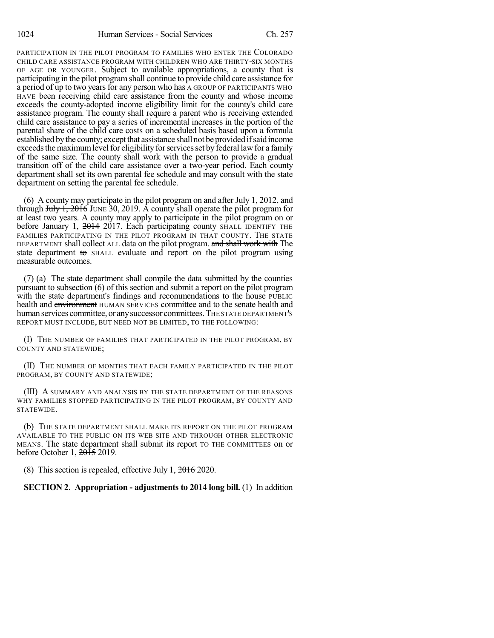PARTICIPATION IN THE PILOT PROGRAM TO FAMILIES WHO ENTER THE COLORADO CHILD CARE ASSISTANCE PROGRAM WITH CHILDREN WHO ARE THIRTY-SIX MONTHS OF AGE OR YOUNGER. Subject to available appropriations, a county that is participating in the pilot programshall continue to provide child care assistance for a period of up to two years for any person who has A GROUP OF PARTICIPANTS WHO HAVE been receiving child care assistance from the county and whose income exceeds the county-adopted income eligibility limit for the county's child care assistance program. The county shall require a parent who is receiving extended child care assistance to pay a series of incremental increases in the portion of the parental share of the child care costs on a scheduled basis based upon a formula established by the county; except that assistance shall not be provided if said income exceeds the maximum level for eligibility for services set by federal law for a family of the same size. The county shall work with the person to provide a gradual transition off of the child care assistance over a two-year period. Each county department shall set its own parental fee schedule and may consult with the state department on setting the parental fee schedule.

(6) A county may participate in the pilot program on and after July 1, 2012, and through  $J_{\text{t}}$ ,  $\frac{1}{2016}$  JUNE 30, 2019. A county shall operate the pilot program for at least two years. A county may apply to participate in the pilot program on or before January 1, 2014 2017. Each participating county SHALL IDENTIFY THE FAMILIES PARTICIPATING IN THE PILOT PROGRAM IN THAT COUNTY. THE STATE DEPARTMENT shall collect ALL data on the pilot program. and shall work with The state department to  $\sigma$  SHALL evaluate and report on the pilot program using measurable outcomes.

(7) (a) The state department shall compile the data submitted by the counties pursuant to subsection (6) of this section and submit a report on the pilot program with the state department's findings and recommendations to the house PUBLIC health and environment HUMAN SERVICES committee and to the senate health and human services committee, or any successor committees. THE STATE DEPARTMENT'S REPORT MUST INCLUDE, BUT NEED NOT BE LIMITED, TO THE FOLLOWING:

(I) THE NUMBER OF FAMILIES THAT PARTICIPATED IN THE PILOT PROGRAM, BY COUNTY AND STATEWIDE;

(II) THE NUMBER OF MONTHS THAT EACH FAMILY PARTICIPATED IN THE PILOT PROGRAM, BY COUNTY AND STATEWIDE;

(III) A SUMMARY AND ANALYSIS BY THE STATE DEPARTMENT OF THE REASONS WHY FAMILIES STOPPED PARTICIPATING IN THE PILOT PROGRAM, BY COUNTY AND STATEWIDE.

(b) THE STATE DEPARTMENT SHALL MAKE ITS REPORT ON THE PILOT PROGRAM AVAILABLE TO THE PUBLIC ON ITS WEB SITE AND THROUGH OTHER ELECTRONIC MEANS. The state department shall submit its report TO THE COMMITTEES on or before October 1, 2015 2019.

(8) This section is repealed, effective July 1, 2016 2020.

## **SECTION 2. Appropriation - adjustments to 2014 long bill.** (1) In addition